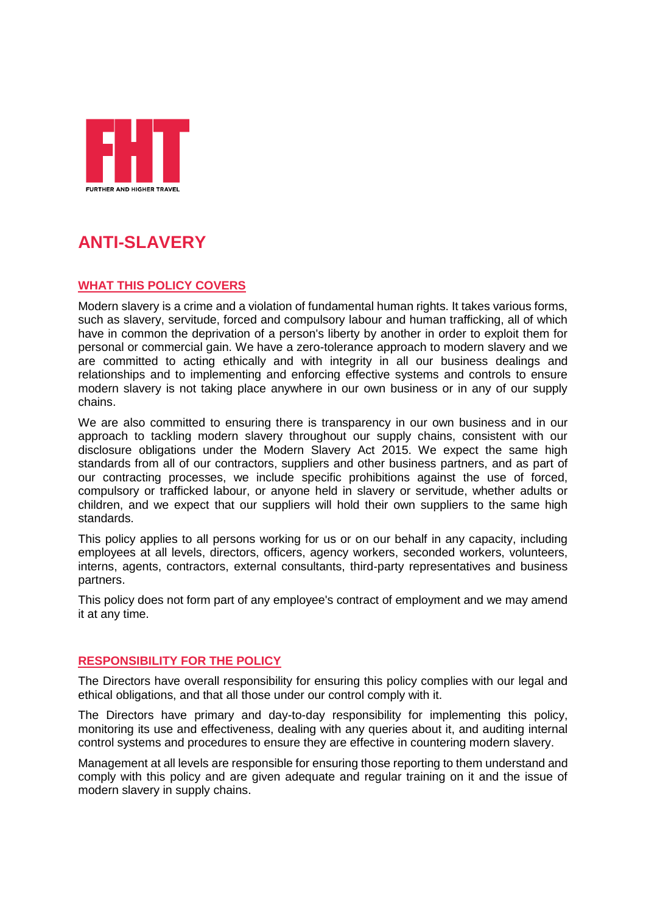

# **ANTI-SLAVERY**

## **WHAT THIS POLICY COVERS**

Modern slavery is a crime and a violation of fundamental human rights. It takes various forms, such as slavery, servitude, forced and compulsory labour and human trafficking, all of which have in common the deprivation of a person's liberty by another in order to exploit them for personal or commercial gain. We have a zero-tolerance approach to modern slavery and we are committed to acting ethically and with integrity in all our business dealings and relationships and to implementing and enforcing effective systems and controls to ensure modern slavery is not taking place anywhere in our own business or in any of our supply chains.

We are also committed to ensuring there is transparency in our own business and in our approach to tackling modern slavery throughout our supply chains, consistent with our disclosure obligations under the Modern Slavery Act 2015. We expect the same high standards from all of our contractors, suppliers and other business partners, and as part of our contracting processes, we include specific prohibitions against the use of forced, compulsory or trafficked labour, or anyone held in slavery or servitude, whether adults or children, and we expect that our suppliers will hold their own suppliers to the same high standards.

This policy applies to all persons working for us or on our behalf in any capacity, including employees at all levels, directors, officers, agency workers, seconded workers, volunteers, interns, agents, contractors, external consultants, third-party representatives and business partners.

This policy does not form part of any employee's contract of employment and we may amend it at any time.

### **RESPONSIBILITY FOR THE POLICY**

The Directors have overall responsibility for ensuring this policy complies with our legal and ethical obligations, and that all those under our control comply with it.

The Directors have primary and day-to-day responsibility for implementing this policy, monitoring its use and effectiveness, dealing with any queries about it, and auditing internal control systems and procedures to ensure they are effective in countering modern slavery.

Management at all levels are responsible for ensuring those reporting to them understand and comply with this policy and are given adequate and regular training on it and the issue of modern slavery in supply chains.